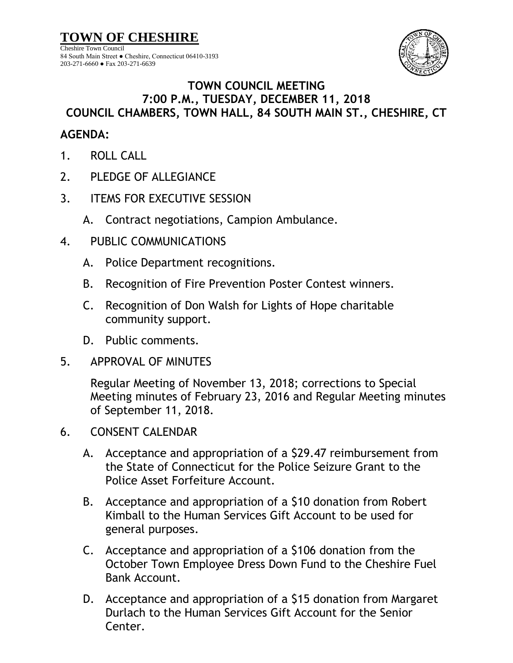**TOWN OF CHESHIRE** Cheshire Town Council 84 South Main Street ● Cheshire, Connecticut 06410-3193 203-271-6660 ● Fax 203-271-6639



## **TOWN COUNCIL MEETING 7:00 P.M., TUESDAY, DECEMBER 11, 2018 COUNCIL CHAMBERS, TOWN HALL, 84 SOUTH MAIN ST., CHESHIRE, CT**

## **AGENDA:**

- 1. ROLL CALL
- 2. PLEDGE OF ALLEGIANCE
- 3. ITEMS FOR EXECUTIVE SESSION
	- A. Contract negotiations, Campion Ambulance.
- 4. PUBLIC COMMUNICATIONS
	- A. Police Department recognitions.
	- B. Recognition of Fire Prevention Poster Contest winners.
	- C. Recognition of Don Walsh for Lights of Hope charitable community support.
	- D. Public comments.
- 5. APPROVAL OF MINUTES

Regular Meeting of November 13, 2018; corrections to Special Meeting minutes of February 23, 2016 and Regular Meeting minutes of September 11, 2018.

- 6. CONSENT CALENDAR
	- A. Acceptance and appropriation of a \$29.47 reimbursement from the State of Connecticut for the Police Seizure Grant to the Police Asset Forfeiture Account.
	- B. Acceptance and appropriation of a \$10 donation from Robert Kimball to the Human Services Gift Account to be used for general purposes.
	- C. Acceptance and appropriation of a \$106 donation from the October Town Employee Dress Down Fund to the Cheshire Fuel Bank Account.
	- D. Acceptance and appropriation of a \$15 donation from Margaret Durlach to the Human Services Gift Account for the Senior Center.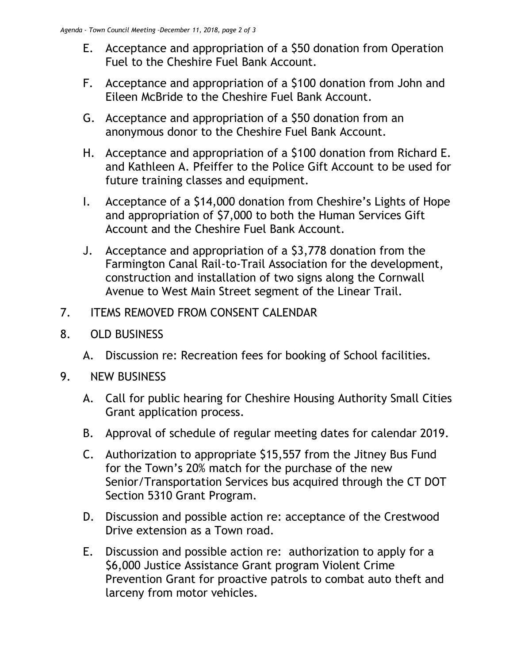- E. Acceptance and appropriation of a \$50 donation from Operation Fuel to the Cheshire Fuel Bank Account.
- F. Acceptance and appropriation of a \$100 donation from John and Eileen McBride to the Cheshire Fuel Bank Account.
- G. Acceptance and appropriation of a \$50 donation from an anonymous donor to the Cheshire Fuel Bank Account.
- H. Acceptance and appropriation of a \$100 donation from Richard E. and Kathleen A. Pfeiffer to the Police Gift Account to be used for future training classes and equipment.
- I. Acceptance of a \$14,000 donation from Cheshire's Lights of Hope and appropriation of \$7,000 to both the Human Services Gift Account and the Cheshire Fuel Bank Account.
- J. Acceptance and appropriation of a \$3,778 donation from the Farmington Canal Rail-to-Trail Association for the development, construction and installation of two signs along the Cornwall Avenue to West Main Street segment of the Linear Trail.
- 7. ITEMS REMOVED FROM CONSENT CALENDAR
- 8. OLD BUSINESS
	- A. Discussion re: Recreation fees for booking of School facilities.
- 9. NEW BUSINESS
	- A. Call for public hearing for Cheshire Housing Authority Small Cities Grant application process.
	- B. Approval of schedule of regular meeting dates for calendar 2019.
	- C. Authorization to appropriate \$15,557 from the Jitney Bus Fund for the Town's 20% match for the purchase of the new Senior/Transportation Services bus acquired through the CT DOT Section 5310 Grant Program.
	- D. Discussion and possible action re: acceptance of the Crestwood Drive extension as a Town road.
	- E. Discussion and possible action re: authorization to apply for a \$6,000 Justice Assistance Grant program Violent Crime Prevention Grant for proactive patrols to combat auto theft and larceny from motor vehicles.